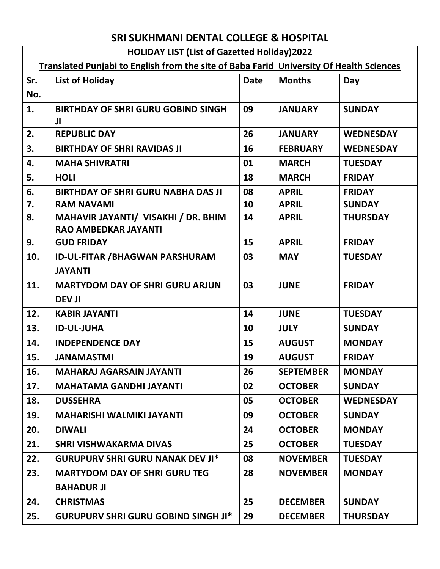## **SRI SUKHMANI DENTAL COLLEGE & HOSPITAL**

## **HOLIDAY LIST (List of Gazetted Holiday)2022**

## **Translated Punjabi to English from the site of Baba Farid University Of Health Sciences**

| Sr. | <b>List of Holiday</b>                         | <b>Date</b> | <b>Months</b>    | Day              |
|-----|------------------------------------------------|-------------|------------------|------------------|
| No. |                                                |             |                  |                  |
| 1.  | <b>BIRTHDAY OF SHRI GURU GOBIND SINGH</b><br>Л | 09          | <b>JANUARY</b>   | <b>SUNDAY</b>    |
| 2.  | <b>REPUBLIC DAY</b>                            | 26          | <b>JANUARY</b>   | <b>WEDNESDAY</b> |
| 3.  | <b>BIRTHDAY OF SHRI RAVIDAS JI</b>             | 16          | <b>FEBRUARY</b>  | <b>WEDNESDAY</b> |
| 4.  | <b>MAHA SHIVRATRI</b>                          | 01          | <b>MARCH</b>     | <b>TUESDAY</b>   |
| 5.  | <b>HOLI</b>                                    | 18          | <b>MARCH</b>     | <b>FRIDAY</b>    |
| 6.  | <b>BIRTHDAY OF SHRI GURU NABHA DAS JI</b>      | 08          | <b>APRIL</b>     | <b>FRIDAY</b>    |
| 7.  | <b>RAM NAVAMI</b>                              | 10          | <b>APRIL</b>     | <b>SUNDAY</b>    |
| 8.  | MAHAVIR JAYANTI/ VISAKHI / DR. BHIM            | 14          | <b>APRIL</b>     | <b>THURSDAY</b>  |
|     | <b>RAO AMBEDKAR JAYANTI</b>                    |             |                  |                  |
| 9.  | <b>GUD FRIDAY</b>                              | 15          | <b>APRIL</b>     | <b>FRIDAY</b>    |
| 10. | <b>ID-UL-FITAR /BHAGWAN PARSHURAM</b>          | 03          | <b>MAY</b>       | <b>TUESDAY</b>   |
|     | <b>JAYANTI</b>                                 |             |                  |                  |
| 11. | <b>MARTYDOM DAY OF SHRI GURU ARJUN</b>         | 03          | <b>JUNE</b>      | <b>FRIDAY</b>    |
|     | <b>DEV JI</b>                                  |             |                  |                  |
| 12. | <b>KABIR JAYANTI</b>                           | 14          | <b>JUNE</b>      | <b>TUESDAY</b>   |
| 13. | <b>ID-UL-JUHA</b>                              | 10          | <b>JULY</b>      | <b>SUNDAY</b>    |
| 14. | <b>INDEPENDENCE DAY</b>                        | 15          | <b>AUGUST</b>    | <b>MONDAY</b>    |
| 15. | <b>JANAMASTMI</b>                              | 19          | <b>AUGUST</b>    | <b>FRIDAY</b>    |
| 16. | <b>MAHARAJ AGARSAIN JAYANTI</b>                | 26          | <b>SEPTEMBER</b> | <b>MONDAY</b>    |
| 17. | <b>MAHATAMA GANDHI JAYANTI</b>                 | 02          | <b>OCTOBER</b>   | <b>SUNDAY</b>    |
| 18. | <b>DUSSEHRA</b>                                | 05          | <b>OCTOBER</b>   | <b>WEDNESDAY</b> |
| 19. | <b>MAHARISHI WALMIKI JAYANTI</b>               | 09          | <b>OCTOBER</b>   | <b>SUNDAY</b>    |
| 20. | <b>DIWALI</b>                                  | 24          | <b>OCTOBER</b>   | <b>MONDAY</b>    |
| 21. | <b>SHRI VISHWAKARMA DIVAS</b>                  | 25          | <b>OCTOBER</b>   | <b>TUESDAY</b>   |
| 22. | <b>GURUPURV SHRI GURU NANAK DEV JI*</b>        | 08          | <b>NOVEMBER</b>  | <b>TUESDAY</b>   |
| 23. | <b>MARTYDOM DAY OF SHRI GURU TEG</b>           | 28          | <b>NOVEMBER</b>  | <b>MONDAY</b>    |
|     | <b>BAHADUR JI</b>                              |             |                  |                  |
| 24. | <b>CHRISTMAS</b>                               | 25          | <b>DECEMBER</b>  | <b>SUNDAY</b>    |
| 25. | <b>GURUPURV SHRI GURU GOBIND SINGH JI*</b>     | 29          | <b>DECEMBER</b>  | <b>THURSDAY</b>  |